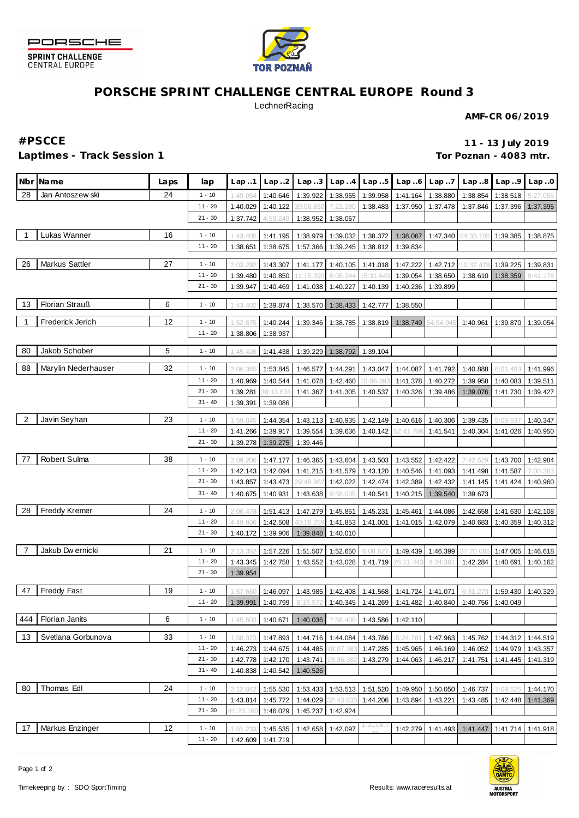



## **PORSCHE SPRINT CHALLENGE CENTRAL EUROPE Round 3**

**LechnerRacing** 

**AMF-CR 06/2019**

### **Laptimes - Track Session 1**

**#PSCCE 11 - 13 July 2019 Tor Poznan - 4083 mtr.**

|                | Nbr Name             | Laps | lap       | Lap.1     | Lap.2             | Lap.3     | Lap.4             | Lap.5    | Lap.6     | Lap.7             | Lap.8     | Lap.9    | Lap.0                |
|----------------|----------------------|------|-----------|-----------|-------------------|-----------|-------------------|----------|-----------|-------------------|-----------|----------|----------------------|
| 28             | Jan Antoszew ski     | 24   | $1 - 10$  | 1:49.054  | 1:40.646          | 1:39.922  | 1:38.955          | 1:39.958 | 1:41.164  | 1:38.880          | 1:38.854  | 1:38.518 | 5:27.055             |
|                |                      |      | $11 - 20$ | 1:40.029  | 1:40.122          | 39:06.830 | 7:22.280          | 1:38.483 | 1:37.950  | 1:37.478          | 1:37.846  | 1:37.396 | 1:37.395             |
|                |                      |      | $21 - 30$ | 1:37.742  | 4:59.249          | 1:38.952  | 1:38.057          |          |           |                   |           |          |                      |
| $\overline{1}$ | Lukas Wanner         | 16   | $1 - 10$  | 1:43.405  | 1:41.195          | 1:38.979  | 1:39.032          | 1:38.372 | 1:38.067  | 1:47.340          | 54:33.105 | 1:39.385 | 1:38.875             |
|                |                      |      | $11 - 20$ | 1:38.651  | 1:38.675          | 1:57.366  | 1:39.245          | 1:38.812 | 1:39.834  |                   |           |          |                      |
|                |                      |      |           |           |                   |           |                   |          |           |                   |           |          |                      |
| 26             | Markus Sattler       | 27   | $1 - 10$  | 2:03.29   | 1:43.307          | 1:41.177  | 1:40.105          | 1:41.018 | 1:47.222  | 1:42.712          | 10:37.478 | 1:39.225 | 1:39.831             |
|                |                      |      | $11 - 20$ | 1:39.480  | 1:40.850          | 11:15.39  | 8:08.244          | 15:31.64 | 1:39.054  | 1:38.650          | 1:38.610  | 1:38.359 | 9:41.178             |
|                |                      |      | $21 - 30$ | 1:39.947  | 1:40.469          | 1:41.038  | 1:40.227          | 1:40.139 | 1:40.236  | 1:39.899          |           |          |                      |
| 13             | Florian Strauß       | 6    | $1 - 10$  | 1:43.40   | 1:39.874          | 1:38.570  | 1:38.433          | 1:42.777 | 1:38.550  |                   |           |          |                      |
| $\overline{1}$ | Frederick Jerich     | 12   | $1 - 10$  | 1:52.67   | 1:40.244          | 1:39.346  | 1:38.785          | 1:38.819 | 1:38.749  | 54:54.94          | 1:40.961  | 1:39.870 | 1:39.054             |
|                |                      |      | $11 - 20$ | 1:38.806  | 1:38.937          |           |                   |          |           |                   |           |          |                      |
|                |                      |      |           |           |                   |           |                   |          |           |                   |           |          |                      |
| 80             | Jakob Schober        | 5    | $1 - 10$  | 1:45.426  | 1:41.438          | 1:39.229  | 1:38.792          | 1:39.104 |           |                   |           |          |                      |
| 88             | Marylin Niederhauser | 32   | $1 - 10$  | 2:06.365  | 1:53.845          | 1:46.577  | 1:44.291          | 1:43.047 | 1:44.087  | 1:41.792          | 1:40.888  | 6:01.483 | 1:41.996             |
|                |                      |      | $11 - 20$ | 1:40.969  | 1:40.544          | 1:41.078  | 1:42.460          | 10:08.39 | 1:41.378  | 1:40.272          | 1:39.958  | 1:40.083 | 1:39.511             |
|                |                      |      | $21 - 30$ | 1:39.281  | 88:13.63          | 1:41.367  | 1:41.305          | 1:40.537 | 1:40.326  | 1:39.486          | 1:39.076  | 1:41.730 | 1:39.427             |
|                |                      |      | $31 - 40$ | 1:39.391  | 1:39.086          |           |                   |          |           |                   |           |          |                      |
| $\overline{2}$ |                      | 23   |           |           |                   |           |                   |          |           |                   |           |          |                      |
|                | Javin Seyhan         |      | $1 - 10$  | 1:59.045  | 1:44.354          | 1:43.113  | 1:40.935          | 1:42.149 | 1:40.616  | 1:40.306          | 1:39.435  | 5:09.    | 1:40.347             |
|                |                      |      | $11 - 20$ | 1:41.266  | 1:39.917          | 1:39.554  | 1:39.636          | 1:40.142 | 52:41.786 | 1:41.541          | 1:40.304  | 1:41.026 | 1:40.950             |
|                |                      |      | $21 - 30$ |           | 1:39.278 1:39.275 | 1:39.446  |                   |          |           |                   |           |          |                      |
| 77             | Robert Sulma         | 38   | $1 - 10$  | 2:09.206  | 1:47.177          | 1:46.365  | 1:43.604          | 1:43.503 | 1:43.552  | 1:42.422          | 7:42.529  | 1:43.700 | 1:42.984             |
|                |                      |      | $11 - 20$ | 1:42.143  | 1:42.094          | 1:41.215  | 1:41.579          | 1:43.120 | 1:40.546  | 1:41.093          | 1:41.498  | 1:41.587 | 7:00.383             |
|                |                      |      | $21 - 30$ | 1:43.857  | 1:43.473          | 29:48.96  | 1:42.022          | 1:42.474 | 1:42.389  | 1:42.432          | 1:41.145  | 1:41.424 | 1:40.960             |
|                |                      |      | $31 - 40$ | 1:40.675  | 1:40.931          | 1:43.638  | 9:58.035          | 1:40.541 | 1:40.215  | 1:39.540          | 1:39.673  |          |                      |
| 28             | Freddy Kremer        | 24   | $1 - 10$  | 2:06.47   | 1:51.413          | 1:47.279  | 1:45.851          | 1:45.231 | 1:45.461  | 1:44.086          | 1:42.658  | 1:41.630 |                      |
|                |                      |      | $11 - 20$ | 4:49.606  | 1:42.508          | 40:16.25  | 1:41.853          | 1:41.001 |           | 1:41.015 1:42.079 | 1:40.683  | 1:40.359 | 1:42.108<br>1:40.312 |
|                |                      |      | $21 - 30$ | 1:40.172  | 1:39.906          | 1:39.848  | 1:40.010          |          |           |                   |           |          |                      |
|                |                      |      |           |           |                   |           |                   |          |           |                   |           |          |                      |
| $\overline{7}$ | Jakub Dw ernicki     | 21   | $1 - 10$  | 2:13.35   | 1:57.226          | 1:51.507  | 1:52.650          | 6:08.62  | 1:49.439  | 1:46.399          | 37:20.085 | 1:47.005 | 1:46.618             |
|                |                      |      | $11 - 20$ | 1:43.345  | 1:42.758          | 1:43.552  | 1:43.028          | 1:41.719 | 26:11.443 | 4:24.38'          | 1:42.284  | 1:40.691 | 1:40.162             |
|                |                      |      | $21 - 30$ | 1:39.954  |                   |           |                   |          |           |                   |           |          |                      |
| 47             | Freddy Fast          | 19   | $1 - 10$  | 1:57.66(  | 1:46.097          | 1:43.985  | 1:42.408          | 1:41.568 | 1:41.724  | 1:41.071          | 6:31.273  | 1:59.430 | 1:40.329             |
|                |                      |      | $11 - 20$ | 1:39.991  | 1:40.799          | 6:19.572  | 1:40.345          | 1:41.269 | 1:41.482  | 1:40.840          | 1:40.756  | 1:40.049 |                      |
|                |                      |      |           |           |                   |           |                   |          |           |                   |           |          |                      |
| 444            | Florian Janits       | 6    | $1 - 10$  | 1:45.503  | 1:40.671          | 1:40.036  | 7:58.400          | 1:43.586 | 1:42.110  |                   |           |          |                      |
| 13             | Svetlana Gorbunova   | 33   | $1 - 10$  | 1:58.373  | 1:47.893          |           | 1:44.716 1:44.084 | 1:43.786 | 5:24.781  | 1:47.963          | 1:45.762  | 1:44.312 | 1:44.519             |
|                |                      |      | $11 - 20$ | 1:46.273  | 1:44.675          | 1:44.485  | 18:07.383         | 1:47.285 | 1:45.965  | 1:46.169          | 1:46.052  | 1:44.979 | 1:43.357             |
|                |                      |      | $21 - 30$ | 1:42.778  | 1:42.170          | 1:43.741  | 3:36.382          | 1:43.279 | 1:44.063  | 1:46.217          | 1:41.751  | 1:41.445 | 1:41.319             |
|                |                      |      | $31 - 40$ | 1:40.838  | 1:40.542          | 1:40.526  |                   |          |           |                   |           |          |                      |
| 80             | Thomas Edl           | 24   | $1 - 10$  | 2:12.042  | 1:55.530          | 1:53.433  | 1:53.513          | 1:51.520 | 1:49.950  | 1:50.050          | 1:46.737  | 7:09.52  | 1:44.170             |
|                |                      |      | $11 - 20$ | 1:43.814  | 1:45.772          | 1:44.029  | 2:43.835          | 1:44.206 | 1:43.894  | 1:43.221          | 1:43.485  | 1:42.448 | 1:41.369             |
|                |                      |      | $21 - 30$ | 11:23.16( | 1:46.029          | 1:45.237  | 1:42.924          |          |           |                   |           |          |                      |
|                |                      |      |           |           |                   |           |                   |          |           |                   |           |          |                      |
| 17             | Markus Enzinger      | 12   | $1 - 10$  | 1:51.233  | 1:45.535          | 1:42.658  | 1:42.097          | 1:31:08. | 1:42.279  | 1:41.493          | 1:41.447  | 1:41.714 | 1:41.918             |
|                |                      |      | $11 - 20$ |           | 1:42.609 1:41.719 |           |                   |          |           |                   |           |          |                      |